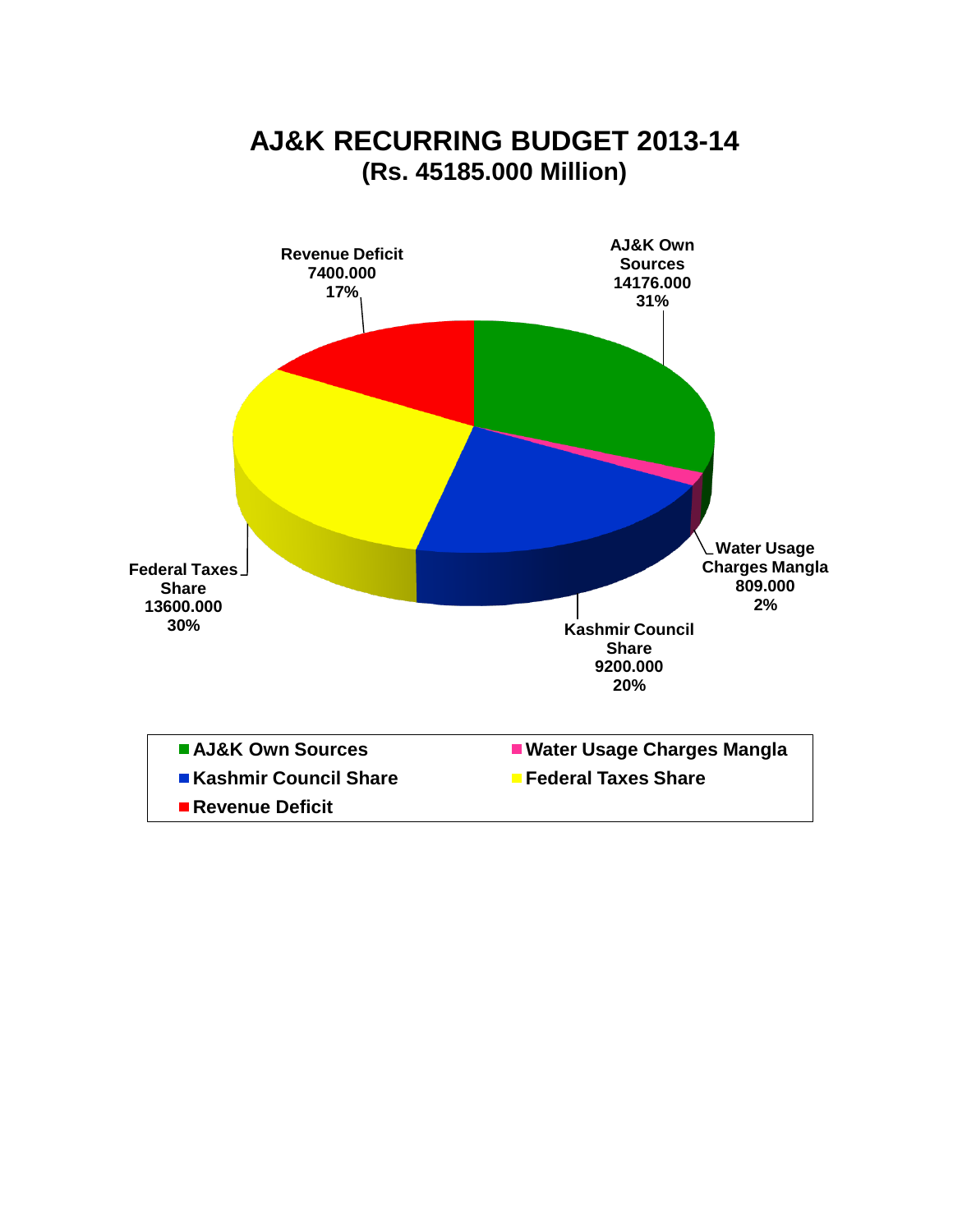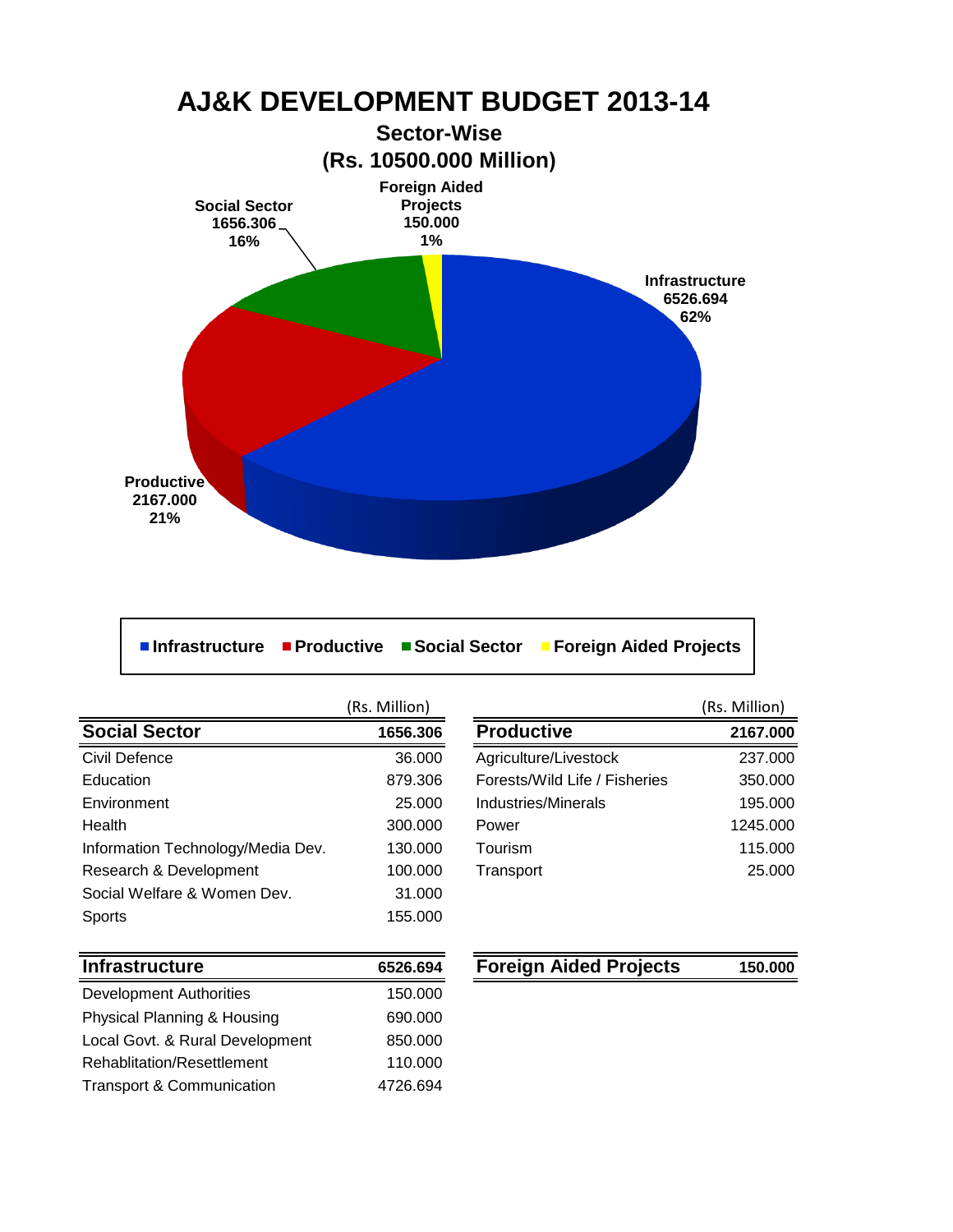

**Infrastructure Productive Social Sector Foreign Aided Projects**

(Rs. Million) **Social Sector 1656.306 Productive 21656.306** Civil Defence 36.000 Education 879.306 Forests/Wild Life / Fisheries 350.000 Environment 25.000 Health 300.000 Power 1245.000 Information Technology/Media Dev. 130.000 Research & Development 100.000 Social Welfare & Women Dev. 31.000 Sports 155.000

|                               | (Rs. Million) |
|-------------------------------|---------------|
| <b>Productive</b>             | 2167.000      |
| Agriculture/Livestock         | 237,000       |
| Forests/Wild Life / Fisheries | 350,000       |
| Industries/Minerals           | 195.000       |
| Power                         | 1245.000      |
| Tourism                       | 115.000       |
| Transport                     | 25,000        |
|                               |               |

| <b>Infrastructure</b>                | 6526.694 |
|--------------------------------------|----------|
| <b>Development Authorities</b>       | 150.000  |
| Physical Planning & Housing          | 690.000  |
| Local Govt. & Rural Development      | 850,000  |
| Rehablitation/Resettlement           | 110.000  |
| <b>Transport &amp; Communication</b> | 4726.694 |

### **Foreign Aided Projects 150.000**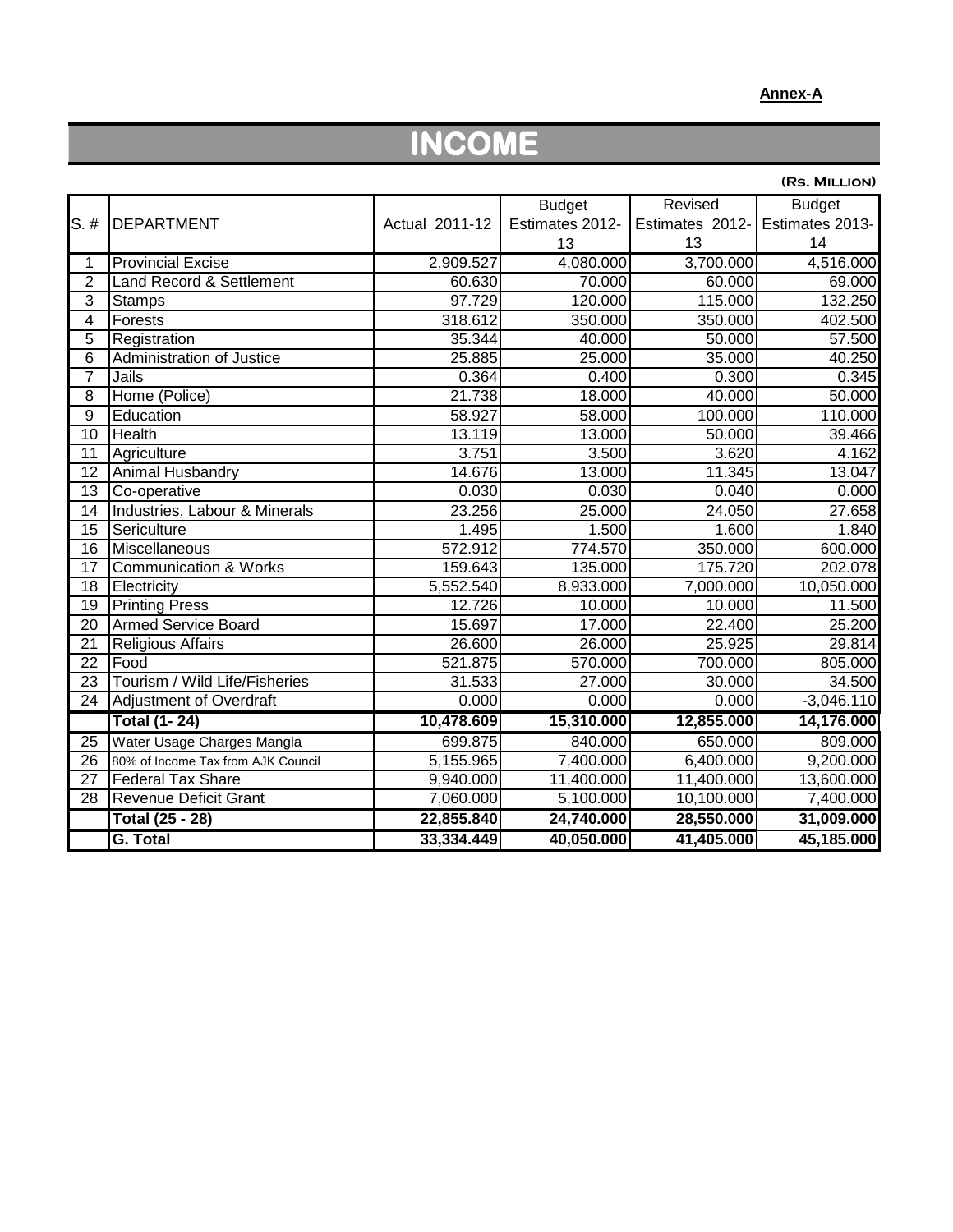#### **Annex-A**

## **INCOME**

|                 |                                    |                |                 |                 | (RS. MILLION)           |
|-----------------|------------------------------------|----------------|-----------------|-----------------|-------------------------|
|                 |                                    |                | <b>Budget</b>   | Revised         | <b>Budget</b>           |
| $S.$ #          | <b>DEPARTMENT</b>                  | Actual 2011-12 | Estimates 2012- | Estimates 2012- | Estimates 2013-         |
|                 |                                    |                | 13              | 13              | 14                      |
| 1               | <b>Provincial Excise</b>           | 2,909.527      | 4,080.000       | 3,700.000       | 4,516.000               |
| $\overline{2}$  | Land Record & Settlement           | 60.630         | 70.000          | 60.000          | 69.000                  |
| 3               | <b>Stamps</b>                      | 97.729         | 120.000         | 115.000         | 132.250                 |
| $\overline{4}$  | Forests                            | 318.612        | 350.000         | 350.000         | 402.500                 |
| $\overline{5}$  | Registration                       | 35.344         | 40.000          | 50.000          | 57.500                  |
| $\overline{6}$  | Administration of Justice          | 25.885         | 25.000          | 35.000          | 40.250                  |
| $\overline{7}$  | Jails                              | 0.364          | 0.400           | 0.300           | 0.345                   |
| 8               | Home (Police)                      | 21.738         | 18.000          | 40.000          | 50.000                  |
| $\overline{9}$  | Education                          | 58.927         | 58.000          | 100.000         | 110.000                 |
| 10              | Health                             | 13.119         | 13.000          | 50.000          | 39.466                  |
| 11              | Agriculture                        | 3.751          | 3.500           | 3.620           | 4.162                   |
| $\overline{12}$ | Animal Husbandry                   | 14.676         | 13.000          | 11.345          | 13.047                  |
| 13              | Co-operative                       | 0.030          | 0.030           | 0.040           | 0.000                   |
| 14              | Industries, Labour & Minerals      | 23.256         | 25.000          | 24.050          | 27.658                  |
| 15              | Sericulture                        | 1.495          | 1.500           | 1.600           | 1.840                   |
| 16              | Miscellaneous                      | 572.912        | 774.570         | 350.000         | 600.000                 |
| $\overline{17}$ | <b>Communication &amp; Works</b>   | 159.643        | 135.000         | 175.720         | 202.078                 |
| 18              | Electricity                        | 5,552.540      | 8,933.000       | 7,000.000       | 10,050.000              |
| 19              | <b>Printing Press</b>              | 12.726         | 10.000          | 10.000          | 11.500                  |
| $\overline{20}$ | <b>Armed Service Board</b>         | 15.697         | 17.000          | 22.400          | 25.200                  |
| 21              | <b>Religious Affairs</b>           | 26.600         | 26.000          | 25.925          | 29.814                  |
| $\overline{22}$ | Food                               | 521.875        | 570.000         | 700.000         | 805.000                 |
| 23              | Tourism / Wild Life/Fisheries      | 31.533         | 27.000          | 30.000          | 34.500                  |
| 24              | Adjustment of Overdraft            | 0.000          | 0.000           | 0.000           | $\overline{-3,}046.110$ |
|                 | <b>Total (1-24)</b>                | 10,478.609     | 15,310.000      | 12,855.000      | 14,176.000              |
| 25              | Water Usage Charges Mangla         | 699.875        | 840.000         | 650.000         | 809.000                 |
| 26              | 80% of Income Tax from AJK Council | 5,155.965      | 7,400.000       | 6,400.000       | 9,200.000               |
| 27              | <b>Federal Tax Share</b>           | 9,940.000      | 11,400.000      | 11,400.000      | 13,600.000              |
| 28              | <b>Revenue Deficit Grant</b>       | 7,060.000      | 5,100.000       | 10,100.000      | 7,400.000               |
|                 | <b>Total (25 - 28)</b>             | 22,855.840     | 24,740.000      | 28,550.000      | 31,009.000              |
|                 | G. Total                           | 33,334.449     | 40,050.000      | 41,405.000      | 45,185.000              |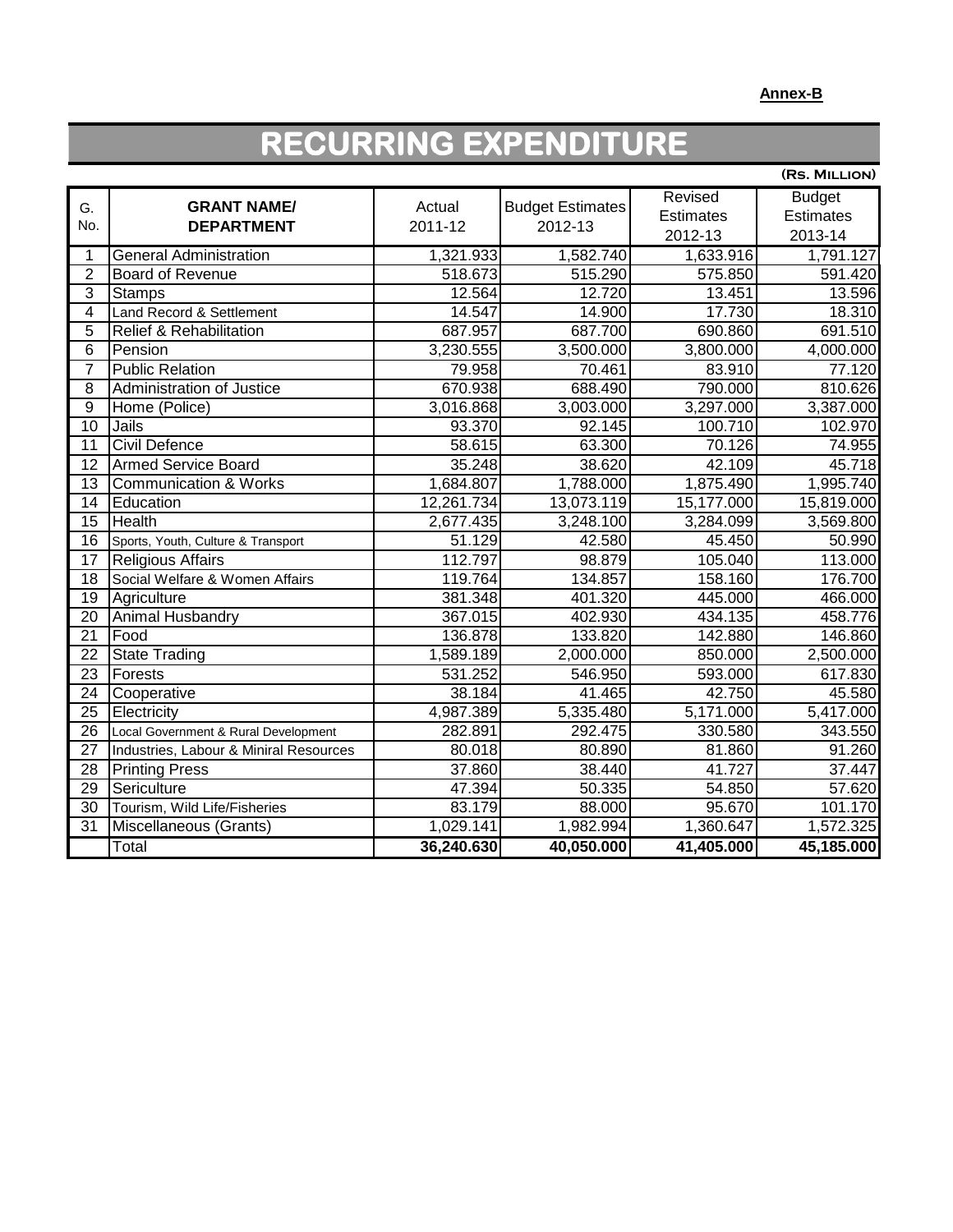# **RECURRING EXPENDITURE**

|                 |                                        |            |                         |            | (RS. MILLION)    |
|-----------------|----------------------------------------|------------|-------------------------|------------|------------------|
| G.              | <b>GRANT NAME/</b>                     | Actual     | <b>Budget Estimates</b> | Revised    | <b>Budget</b>    |
| No.             | <b>DEPARTMENT</b>                      | 2011-12    | 2012-13                 | Estimates  | <b>Estimates</b> |
|                 |                                        |            |                         | 2012-13    | 2013-14          |
| 1               | <b>General Administration</b>          | 1,321.933  | 1,582.740               | 1,633.916  | 1,791.127        |
| $\overline{2}$  | <b>Board of Revenue</b>                | 518.673    | 515.290                 | 575.850    | 591.420          |
| $\overline{3}$  | <b>Stamps</b>                          | 12.564     | 12.720                  | 13.451     | 13.596           |
| $\overline{4}$  | Land Record & Settlement               | 14.547     | 14.900                  | 17.730     | 18.310           |
| $\overline{5}$  | <b>Relief &amp; Rehabilitation</b>     | 687.957    | 687.700                 | 690.860    | 691.510          |
| $6\phantom{1}$  | Pension                                | 3,230.555  | 3,500.000               | 3,800.000  | 4,000.000        |
| $\overline{7}$  | <b>Public Relation</b>                 | 79.958     | 70.461                  | 83.910     | 77.120           |
| 8               | Administration of Justice              | 670.938    | 688.490                 | 790.000    | 810.626          |
| $\overline{9}$  | Home (Police)                          | 3,016.868  | 3,003.000               | 3,297.000  | 3,387.000        |
| $\overline{10}$ | Jails                                  | 93.370     | 92.145                  | 100.710    | 102.970          |
| 11              | Civil Defence                          | 58.615     | 63.300                  | 70.126     | 74.955           |
| 12              | <b>Armed Service Board</b>             | 35.248     | 38.620                  | 42.109     | 45.718           |
| $\overline{13}$ | <b>Communication &amp; Works</b>       | 1,684.807  | 1,788.000               | 1,875.490  | 1,995.740        |
| 14              | Education                              | 12,261.734 | 13,073.119              | 15,177.000 | 15,819.000       |
| $\overline{15}$ | Health                                 | 2,677.435  | 3,248.100               | 3,284.099  | 3,569.800        |
| 16              | Sports, Youth, Culture & Transport     | 51.129     | 42.580                  | 45.450     | 50.990           |
| 17              | <b>Religious Affairs</b>               | 112.797    | 98.879                  | 105.040    | 113.000          |
| $\overline{18}$ | Social Welfare & Women Affairs         | 119.764    | 134.857                 | 158.160    | 176.700          |
| $\overline{19}$ | Agriculture                            | 381.348    | 401.320                 | 445.000    | 466.000          |
| 20              | Animal Husbandry                       | 367.015    | 402.930                 | 434.135    | 458.776          |
| 21              | Food                                   | 136.878    | 133.820                 | 142.880    | 146.860          |
| $\overline{22}$ | <b>State Trading</b>                   | 1,589.189  | 2,000.000               | 850.000    | 2,500.000        |
| 23              | Forests                                | 531.252    | 546.950                 | 593.000    | 617.830          |
| 24              | Cooperative                            | 38.184     | 41.465                  | 42.750     | 45.580           |
| 25              | Electricity                            | 4,987.389  | 5,335.480               | 5,171.000  | 5,417.000        |
| 26              | Local Government & Rural Development   | 282.891    | 292.475                 | 330.580    | 343.550          |
| 27              | Industries, Labour & Miniral Resources | 80.018     | 80.890                  | 81.860     | 91.260           |
| 28              | <b>Printing Press</b>                  | 37.860     | 38.440                  | 41.727     | 37.447           |
| 29              | Sericulture                            | 47.394     | 50.335                  | 54.850     | 57.620           |
| 30              | Tourism, Wild Life/Fisheries           | 83.179     | 88.000                  | 95.670     | 101.170          |
| $\overline{31}$ | Miscellaneous (Grants)                 | 1,029.141  | 1,982.994               | 1,360.647  | 1,572.325        |
|                 | Total                                  | 36,240.630 | 40,050.000              | 41,405.000 | 45,185.000       |